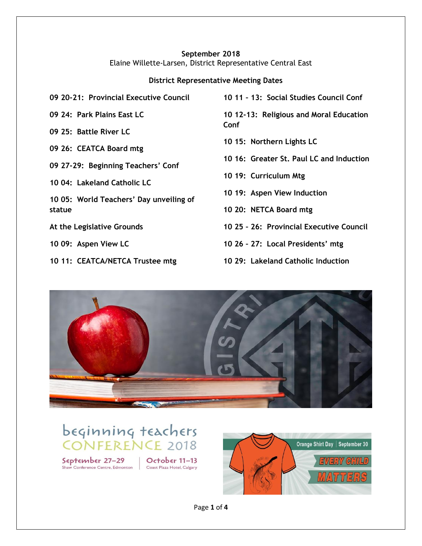#### **September 2018** Elaine Willette-Larsen, District Representative Central East

#### **District Representative Meeting Dates**

**09 20-21: Provincial Executive Council**

**09 24: Park Plains East LC**

**09 25: Battle River LC**

**09 26: CEATCA Board mtg**

**09 27-29: Beginning Teachers' Conf**

**10 04: Lakeland Catholic LC**

**10 05: World Teachers' Day unveiling of statue**

**At the Legislative Grounds**

**10 09: Aspen View LC**

**10 11: CEATCA/NETCA Trustee mtg**

**10 11 – 13: Social Studies Council Conf**

**10 12-13: Religious and Moral Education Conf**

**10 15: Northern Lights LC**

- **10 16: Greater St. Paul LC and Induction**
- **10 19: Curriculum Mtg**
- **10 19: Aspen View Induction**

**10 20: NETCA Board mtg**

- **10 25 – 26: Provincial Executive Council**
- **10 26 – 27: Local Presidents' mtg**
- **10 29: Lakeland Catholic Induction**



beginning teachers **CONFERENCE 2018** 

September 27-29 Shaw Conference Centre, Edmonton

October  $11-13$ Coast Plaza Hotel, Calgary

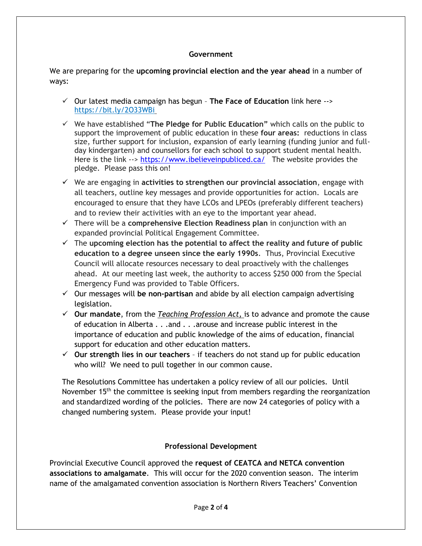#### **Government**

We are preparing for the **upcoming provincial election and the year ahead** in a number of ways:

- ✓ Our latest media campaign has begun **The Face of Education** link here --> <https://bit.ly/2O33WBi>
- ✓ We have established "**The Pledge for Public Education"** which calls on the public to support the improvement of public education in these **four areas:** reductions in class size, further support for inclusion, expansion of early learning (funding junior and fullday kindergarten) and counsellors for each school to support student mental health. Here is the link  $\rightarrow$ <https://www.ibelieveinpubliced.ca/> The website provides the pledge. Please pass this on!
- ✓ We are engaging in **activities to strengthen our provincial association**, engage with all teachers, outline key messages and provide opportunities for action. Locals are encouraged to ensure that they have LCOs and LPEOs (preferably different teachers) and to review their activities with an eye to the important year ahead.
- ✓ There will be a **comprehensive Election Readiness plan** in conjunction with an expanded provincial Political Engagement Committee.
- ✓ The **upcoming election has the potential to affect the reality and future of public education to a degree unseen since the early 1990s**. Thus, Provincial Executive Council will allocate resources necessary to deal proactively with the challenges ahead. At our meeting last week, the authority to access \$250 000 from the Special Emergency Fund was provided to Table Officers.
- ✓ Our messages will **be non-partisan** and abide by all election campaign advertising legislation.
- ✓ **Our mandate**, from the *Teaching Profession Act,* is to advance and promote the cause of education in Alberta . . .and . . .arouse and increase public interest in the importance of education and public knowledge of the aims of education, financial support for education and other education matters.
- ✓ **Our strength lies in our teachers** if teachers do not stand up for public education who will? We need to pull together in our common cause.

The Resolutions Committee has undertaken a policy review of all our policies. Until November 15<sup>th</sup> the committee is seeking input from members regarding the reorganization and standardized wording of the policies. There are now 24 categories of policy with a changed numbering system. Please provide your input!

### **Professional Development**

Provincial Executive Council approved the **request of CEATCA and NETCA convention associations to amalgamate**. This will occur for the 2020 convention season. The interim name of the amalgamated convention association is Northern Rivers Teachers' Convention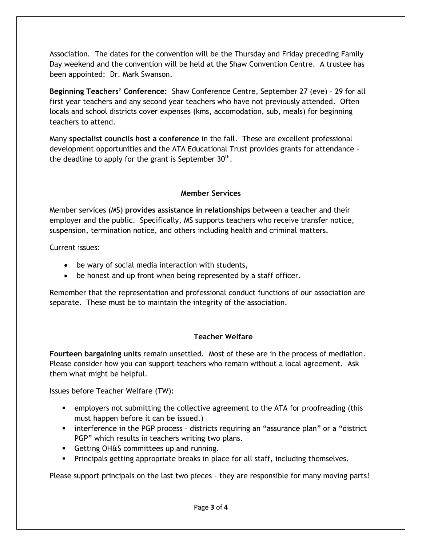Association. The dates for the convention will be the Thursday and Friday preceding Family Day weekend and the convention will be held at the Shaw Convention Centre. A trustee has been appointed: Dr. Mark Swanson.

**Beginning Teachers' Conference:** Shaw Conference Centre, September 27 (eve) – 29 for all first year teachers and any second year teachers who have not previously attended. Often locals and school districts cover expenses (kms, accomodation, sub, meals) for beginning teachers to attend.

Many **specialist councils host a conference** in the fall. These are excellent professional development opportunities and the ATA Educational Trust provides grants for attendance – the deadline to apply for the grant is September  $30<sup>th</sup>$ .

# **Member Services**

Member services (MS) **provides assistance in relationships** between a teacher and their employer and the public. Specifically, MS supports teachers who receive transfer notice, suspension, termination notice, and others including health and criminal matters.

Current issues:

- be wary of social media interaction with students,
- be honest and up front when being represented by a staff officer.

Remember that the representation and professional conduct functions of our association are separate. These must be to maintain the integrity of the association.

# **Teacher Welfare**

**Fourteen bargaining units** remain unsettled. Most of these are in the process of mediation. Please consider how you can support teachers who remain without a local agreement. Ask them what might be helpful.

Issues before Teacher Welfare (TW):

- **•** employers not submitting the collective agreement to the ATA for proofreading (this must happen before it can be issued.)
- **EXP** interference in the PGP process districts requiring an "assurance plan" or a "district PGP" which results in teachers writing two plans.
- Getting OH&S committees up and running.
- **•** Principals getting appropriate breaks in place for all staff, including themselves.

Please support principals on the last two pieces – they are responsible for many moving parts!